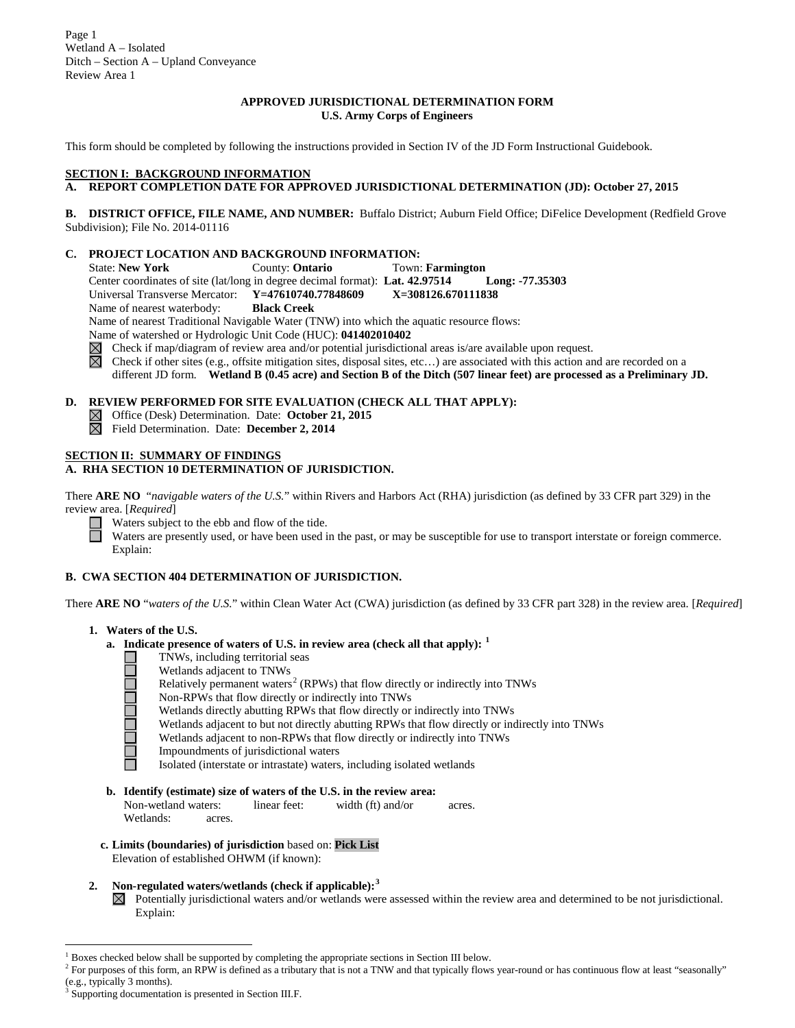Page 1 Wetland A – Isolated Ditch – Section A – Upland Conveyance Review Area 1

#### **APPROVED JURISDICTIONAL DETERMINATION FORM U.S. Army Corps of Engineers**

This form should be completed by following the instructions provided in Section IV of the JD Form Instructional Guidebook.

#### **SECTION I: BACKGROUND INFORMATION**

# **A. REPORT COMPLETION DATE FOR APPROVED JURISDICTIONAL DETERMINATION (JD): October 27, 2015**

**B. DISTRICT OFFICE, FILE NAME, AND NUMBER:** Buffalo District; Auburn Field Office; DiFelice Development (Redfield Grove Subdivision); File No. 2014-01116

#### **C. PROJECT LOCATION AND BACKGROUND INFORMATION:**

State: **New York** County: **Ontario** Town: **Farmington** Center coordinates of site (lat/long in degree decimal format): **Lat. 42.97514 Long: -77.35303** Universal Transverse Mercator: **Y=47610740.77848609 X=308126.670111838** Name of nearest waterbody: **Black Creek** Name of nearest Traditional Navigable Water (TNW) into which the aquatic resource flows:

Name of watershed or Hydrologic Unit Code (HUC): **041402010402**

Check if map/diagram of review area and/or potential jurisdictional areas is/are available upon request.  $\overline{\boxtimes}$ 

Check if other sites (e.g., offsite mitigation sites, disposal sites, etc…) are associated with this action and are recorded on a

different JD form. **Wetland B (0.45 acre) and Section B of the Ditch (507 linear feet) are processed as a Preliminary JD.**

## **D. REVIEW PERFORMED FOR SITE EVALUATION (CHECK ALL THAT APPLY):**

- Office (Desk) Determination. Date: **October 21, 2015**  $\boxtimes$
- Field Determination. Date: **December 2, 2014**

## **SECTION II: SUMMARY OF FINDINGS**

## **A. RHA SECTION 10 DETERMINATION OF JURISDICTION.**

There **ARE NO** "*navigable waters of the U.S.*" within Rivers and Harbors Act (RHA) jurisdiction (as defined by 33 CFR part 329) in the review area. [*Required*]

 $\Box$ Waters subject to the ebb and flow of the tide.

Waters are presently used, or have been used in the past, or may be susceptible for use to transport interstate or foreign commerce. Explain:

### **B. CWA SECTION 404 DETERMINATION OF JURISDICTION.**

There **ARE NO** "*waters of the U.S.*" within Clean Water Act (CWA) jurisdiction (as defined by 33 CFR part 328) in the review area. [*Required*]

#### **1. Waters of the U.S.**

□

- **a. Indicate presence of waters of U.S. in review area (check all that apply): [1](#page-0-0)**
	- TNWs, including territorial seas a a a a a
		- Wetlands adjacent to TNWs
		- Relatively permanent waters<sup>[2](#page-0-1)</sup> (RPWs) that flow directly or indirectly into TNWs
		- Non-RPWs that flow directly or indirectly into TNWs
			- Wetlands directly abutting RPWs that flow directly or indirectly into TNWs
		- Wetlands adjacent to but not directly abutting RPWs that flow directly or indirectly into TNWs
		- Wetlands adjacent to non-RPWs that flow directly or indirectly into TNWs
		- Impoundments of jurisdictional waters
		- Isolated (interstate or intrastate) waters, including isolated wetlands
- **b. Identify (estimate) size of waters of the U.S. in the review area:**<br>Non-wetland waters: linear feet: width (ft) and/or

Non-wetland waters: linear feet: width (ft) and/or acres. Wetlands: acres.

- **c. Limits (boundaries) of jurisdiction** based on: **Pick List** Elevation of established OHWM (if known):
- **2. Non-regulated waters/wetlands (check if applicable): [3](#page-0-2)**
	- $\boxtimes$  Potentially jurisdictional waters and/or wetlands were assessed within the review area and determined to be not jurisdictional. Explain:

<span id="page-0-0"></span> <sup>1</sup> Boxes checked below shall be supported by completing the appropriate sections in Section III below.

<span id="page-0-1"></span><sup>&</sup>lt;sup>2</sup> For purposes of this form, an RPW is defined as a tributary that is not a TNW and that typically flows year-round or has continuous flow at least "seasonally" (e.g., typically 3 months).

<span id="page-0-2"></span>Supporting documentation is presented in Section III.F.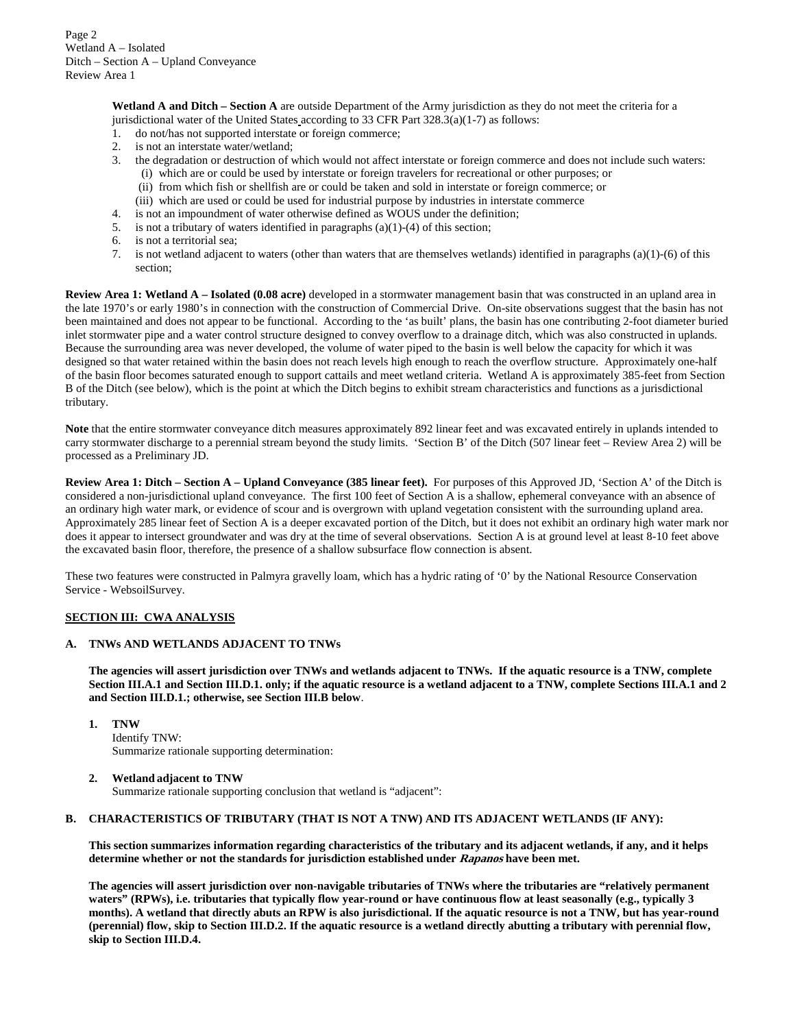**Wetland A and Ditch – Section A** are outside Department of the Army jurisdiction as they do not meet the criteria for a jurisdictional water of the United States according to 33 CFR Part  $328.3(a)(1-7)$  as follows:

- 1. do not/has not supported interstate or foreign commerce;
- 2. is not an interstate water/wetland;
- 3. the degradation or destruction of which would not affect interstate or foreign commerce and does not include such waters:
	- (i) which are or could be used by interstate or foreign travelers for recreational or other purposes; or
	- (ii) from which fish or shellfish are or could be taken and sold in interstate or foreign commerce; or
	- (iii) which are used or could be used for industrial purpose by industries in interstate commerce
- 4. is not an impoundment of water otherwise defined as WOUS under the definition;
- 5. is not a tributary of waters identified in paragraphs (a)(1)-(4) of this section;
- 6. is not a territorial sea;
- 7. is not wetland adjacent to waters (other than waters that are themselves wetlands) identified in paragraphs (a)(1)-(6) of this section;

**Review Area 1: Wetland A – Isolated (0.08 acre)** developed in a stormwater management basin that was constructed in an upland area in the late 1970's or early 1980's in connection with the construction of Commercial Drive. On-site observations suggest that the basin has not been maintained and does not appear to be functional. According to the 'as built' plans, the basin has one contributing 2-foot diameter buried inlet stormwater pipe and a water control structure designed to convey overflow to a drainage ditch, which was also constructed in uplands. Because the surrounding area was never developed, the volume of water piped to the basin is well below the capacity for which it was designed so that water retained within the basin does not reach levels high enough to reach the overflow structure. Approximately one-half of the basin floor becomes saturated enough to support cattails and meet wetland criteria. Wetland A is approximately 385-feet from Section B of the Ditch (see below), which is the point at which the Ditch begins to exhibit stream characteristics and functions as a jurisdictional tributary.

**Note** that the entire stormwater conveyance ditch measures approximately 892 linear feet and was excavated entirely in uplands intended to carry stormwater discharge to a perennial stream beyond the study limits. 'Section B' of the Ditch (507 linear feet – Review Area 2) will be processed as a Preliminary JD.

**Review Area 1: Ditch – Section A – Upland Conveyance (385 linear feet).** For purposes of this Approved JD, 'Section A' of the Ditch is considered a non-jurisdictional upland conveyance. The first 100 feet of Section A is a shallow, ephemeral conveyance with an absence of an ordinary high water mark, or evidence of scour and is overgrown with upland vegetation consistent with the surrounding upland area. Approximately 285 linear feet of Section A is a deeper excavated portion of the Ditch, but it does not exhibit an ordinary high water mark nor does it appear to intersect groundwater and was dry at the time of several observations. Section A is at ground level at least 8-10 feet above the excavated basin floor, therefore, the presence of a shallow subsurface flow connection is absent.

These two features were constructed in Palmyra gravelly loam, which has a hydric rating of '0' by the National Resource Conservation Service - WebsoilSurvey.

## **SECTION III: CWA ANALYSIS**

#### **A. TNWs AND WETLANDS ADJACENT TO TNWs**

**The agencies will assert jurisdiction over TNWs and wetlands adjacent to TNWs. If the aquatic resource is a TNW, complete Section III.A.1 and Section III.D.1. only; if the aquatic resource is a wetland adjacent to a TNW, complete Sections III.A.1 and 2 and Section III.D.1.; otherwise, see Section III.B below**.

**1. TNW** 

Identify TNW: Summarize rationale supporting determination:

#### **2. Wetland adjacent to TNW**

Summarize rationale supporting conclusion that wetland is "adjacent":

#### **B. CHARACTERISTICS OF TRIBUTARY (THAT IS NOT A TNW) AND ITS ADJACENT WETLANDS (IF ANY):**

**This section summarizes information regarding characteristics of the tributary and its adjacent wetlands, if any, and it helps determine whether or not the standards for jurisdiction established under Rapanos have been met.** 

**The agencies will assert jurisdiction over non-navigable tributaries of TNWs where the tributaries are "relatively permanent waters" (RPWs), i.e. tributaries that typically flow year-round or have continuous flow at least seasonally (e.g., typically 3 months). A wetland that directly abuts an RPW is also jurisdictional. If the aquatic resource is not a TNW, but has year-round (perennial) flow, skip to Section III.D.2. If the aquatic resource is a wetland directly abutting a tributary with perennial flow, skip to Section III.D.4.**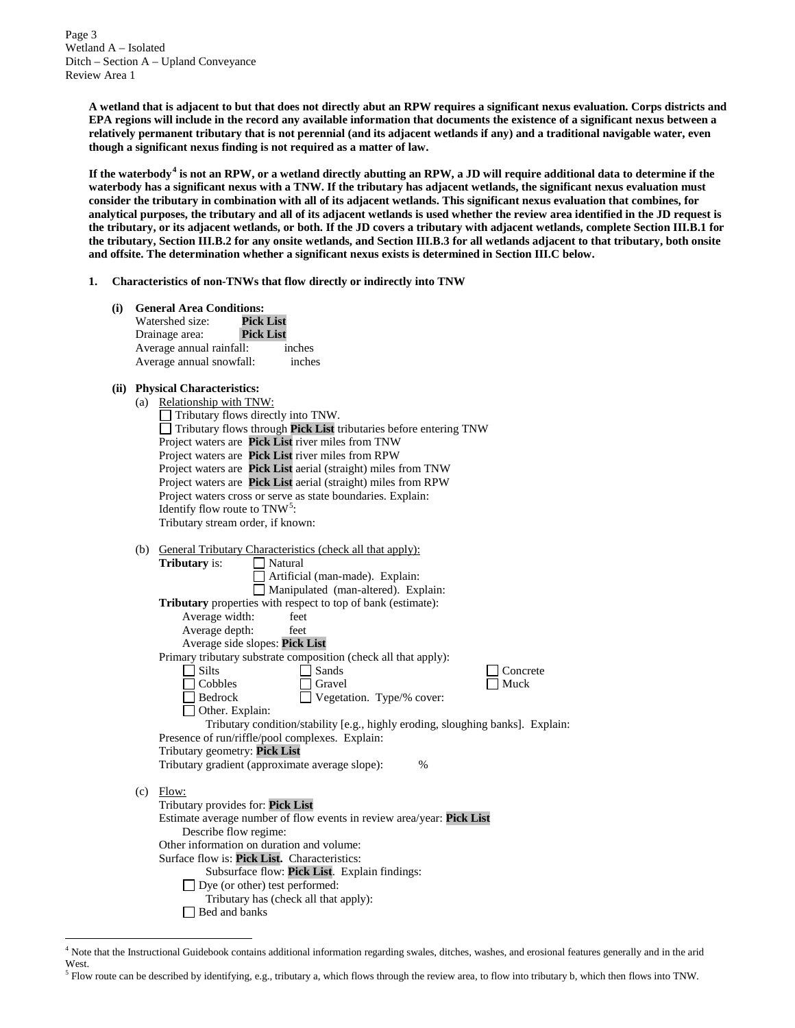Page 3 Wetland A – Isolated Ditch – Section A – Upland Conveyance Review Area 1

> **A wetland that is adjacent to but that does not directly abut an RPW requires a significant nexus evaluation. Corps districts and EPA regions will include in the record any available information that documents the existence of a significant nexus between a relatively permanent tributary that is not perennial (and its adjacent wetlands if any) and a traditional navigable water, even though a significant nexus finding is not required as a matter of law.**

> **If the waterbody[4](#page-2-0) is not an RPW, or a wetland directly abutting an RPW, a JD will require additional data to determine if the waterbody has a significant nexus with a TNW. If the tributary has adjacent wetlands, the significant nexus evaluation must consider the tributary in combination with all of its adjacent wetlands. This significant nexus evaluation that combines, for analytical purposes, the tributary and all of its adjacent wetlands is used whether the review area identified in the JD request is the tributary, or its adjacent wetlands, or both. If the JD covers a tributary with adjacent wetlands, complete Section III.B.1 for the tributary, Section III.B.2 for any onsite wetlands, and Section III.B.3 for all wetlands adjacent to that tributary, both onsite and offsite. The determination whether a significant nexus exists is determined in Section III.C below.**

**1. Characteristics of non-TNWs that flow directly or indirectly into TNW**

| (i) | <b>General Area Conditions:</b><br>Watershed size:<br><b>Pick List</b><br><b>Pick List</b><br>Drainage area:<br>Average annual rainfall:<br>inches<br>Average annual snowfall:<br>inches                                                                                                                                                                                                                                                                                                                                                                                                                                                                                                                                                                                        |
|-----|---------------------------------------------------------------------------------------------------------------------------------------------------------------------------------------------------------------------------------------------------------------------------------------------------------------------------------------------------------------------------------------------------------------------------------------------------------------------------------------------------------------------------------------------------------------------------------------------------------------------------------------------------------------------------------------------------------------------------------------------------------------------------------|
|     | (ii) Physical Characteristics:<br>(a) Relationship with TNW:<br>Tributary flows directly into TNW.<br>Tributary flows through Pick List tributaries before entering TNW<br>Project waters are Pick List river miles from TNW<br>Project waters are Pick List river miles from RPW<br>Project waters are Pick List aerial (straight) miles from TNW<br>Project waters are Pick List aerial (straight) miles from RPW<br>Project waters cross or serve as state boundaries. Explain:<br>Identify flow route to $TNW5$ :<br>Tributary stream order, if known:                                                                                                                                                                                                                      |
|     | (b) General Tributary Characteristics (check all that apply):<br><b>Tributary</b> is:<br>Natural<br>Artificial (man-made). Explain:<br>Manipulated (man-altered). Explain:<br>Tributary properties with respect to top of bank (estimate):<br>Average width:<br>feet<br>Average depth:<br>feet<br>Average side slopes: Pick List<br>Primary tributary substrate composition (check all that apply):<br>$\Box$ Silts<br>$\Box$ Sands<br>Concrete<br>Muck<br>$\Box$ Cobbles<br>Gravel<br>Bedrock<br>Vegetation. Type/% cover:<br>□ Other. Explain:<br>Tributary condition/stability [e.g., highly eroding, sloughing banks]. Explain:<br>Presence of run/riffle/pool complexes. Explain:<br>Tributary geometry: Pick List<br>Tributary gradient (approximate average slope):<br>% |
|     | $(c)$ Flow:<br>Tributary provides for: Pick List<br>Estimate average number of flow events in review area/year: Pick List<br>Describe flow regime:<br>Other information on duration and volume:<br>Surface flow is: Pick List. Characteristics:<br>Subsurface flow: Pick List. Explain findings:<br>Dye (or other) test performed:<br>Tributary has (check all that apply):<br>Bed and banks                                                                                                                                                                                                                                                                                                                                                                                    |

<span id="page-2-0"></span> <sup>4</sup> Note that the Instructional Guidebook contains additional information regarding swales, ditches, washes, and erosional features generally and in the arid West.

<span id="page-2-1"></span><sup>5</sup> Flow route can be described by identifying, e.g., tributary a, which flows through the review area, to flow into tributary b, which then flows into TNW.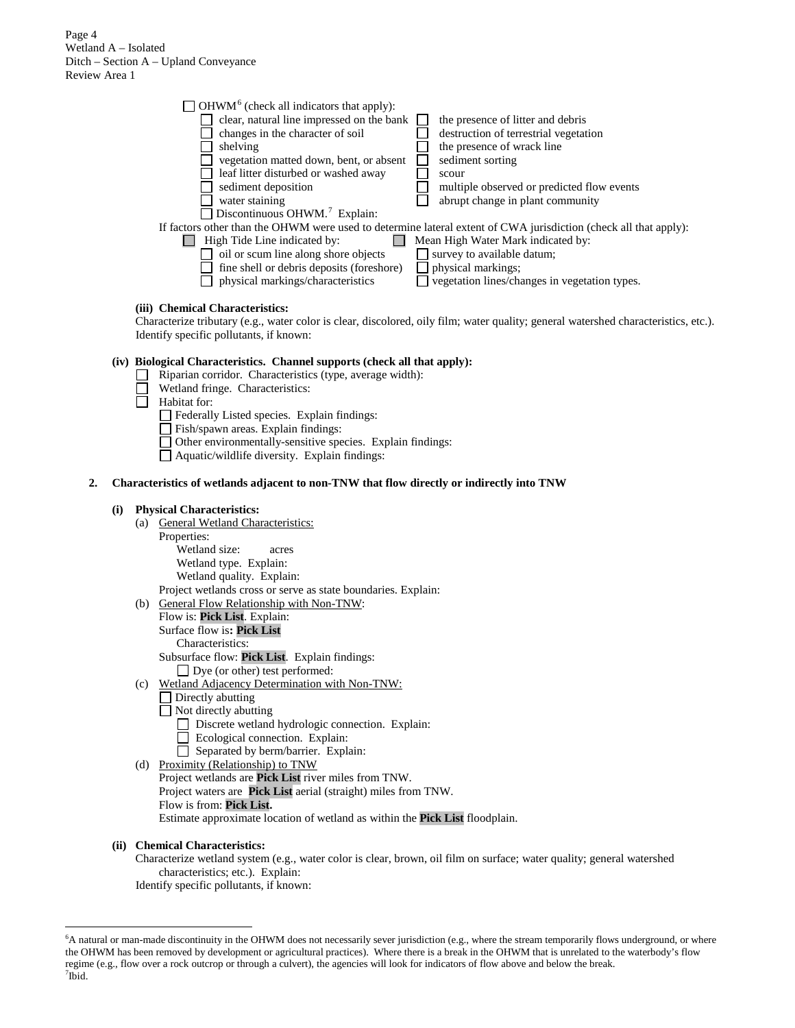Page 4 Wetland A – Isolated Ditch – Section A – Upland Conveyance Review Area 1

| $\Box$ OHWM <sup>6</sup> (check all indicators that apply): |                                                                                                                  |
|-------------------------------------------------------------|------------------------------------------------------------------------------------------------------------------|
| clear, natural line impressed on the bank                   | the presence of litter and debris                                                                                |
| changes in the character of soil                            | destruction of terrestrial vegetation                                                                            |
| shelving                                                    | the presence of wrack line                                                                                       |
| vegetation matted down, bent, or absent                     | sediment sorting                                                                                                 |
| leaf litter disturbed or washed away                        | scour                                                                                                            |
| sediment deposition                                         | multiple observed or predicted flow events                                                                       |
| water staining                                              | abrupt change in plant community                                                                                 |
| Discontinuous OHWM. <sup>7</sup> Explain:                   |                                                                                                                  |
|                                                             | If factors other than the OHWM were used to determine lateral extent of CWA jurisdiction (check all that apply): |
| High Tide Line indicated by:                                | Mean High Water Mark indicated by:                                                                               |
| oil or scum line along shore objects                        | survey to available datum;                                                                                       |
| fine shell or debris deposits (foreshore)                   | physical markings;                                                                                               |
| physical markings/characteristics                           | vegetation lines/changes in vegetation types.                                                                    |
|                                                             |                                                                                                                  |

# **(iii) Chemical Characteristics:**

Characterize tributary (e.g., water color is clear, discolored, oily film; water quality; general watershed characteristics, etc.). Identify specific pollutants, if known:

# **(iv) Biological Characteristics. Channel supports (check all that apply):**

- Riparian corridor. Characteristics (type, average width):
- Wetland fringe. Characteristics:

Habitat for:

Federally Listed species. Explain findings:

Fish/spawn areas. Explain findings:

Other environmentally-sensitive species. Explain findings:

Aquatic/wildlife diversity. Explain findings:

#### **2. Characteristics of wetlands adjacent to non-TNW that flow directly or indirectly into TNW**

#### **(i) Physical Characteristics:**

(a) General Wetland Characteristics:

Properties:

Wetland size: acres Wetland type. Explain: Wetland quality. Explain:

Project wetlands cross or serve as state boundaries. Explain:

- (b) General Flow Relationship with Non-TNW:
	- Flow is: **Pick List**. Explain: Surface flow is**: Pick List**
	- Characteristics:

Subsurface flow: **Pick List**. Explain findings:

Dye (or other) test performed:

- (c) Wetland Adjacency Determination with Non-TNW:
	- □ Directly abutting
	- Not directly abutting
		- Discrete wetland hydrologic connection. Explain:
		- Ecological connection. Explain:
		- Separated by berm/barrier. Explain:
- (d) Proximity (Relationship) to TNW Project wetlands are **Pick List** river miles from TNW. Project waters are **Pick List** aerial (straight) miles from TNW. Flow is from: **Pick List.** Estimate approximate location of wetland as within the **Pick List** floodplain.

#### **(ii) Chemical Characteristics:**

Characterize wetland system (e.g., water color is clear, brown, oil film on surface; water quality; general watershed characteristics; etc.). Explain: Identify specific pollutants, if known:

<span id="page-3-1"></span><span id="page-3-0"></span> <sup>6</sup>  ${}^6$ A natural or man-made discontinuity in the OHWM does not necessarily sever jurisdiction (e.g., where the stream temporarily flows underground, or where the OHWM has been removed by development or agricultural practices). Where there is a break in the OHWM that is unrelated to the waterbody's flow regime (e.g., flow over a rock outcrop or through a culvert), the agencies will look for indicators of flow above and below the break. <sup>7</sup>  $7$ Ibid.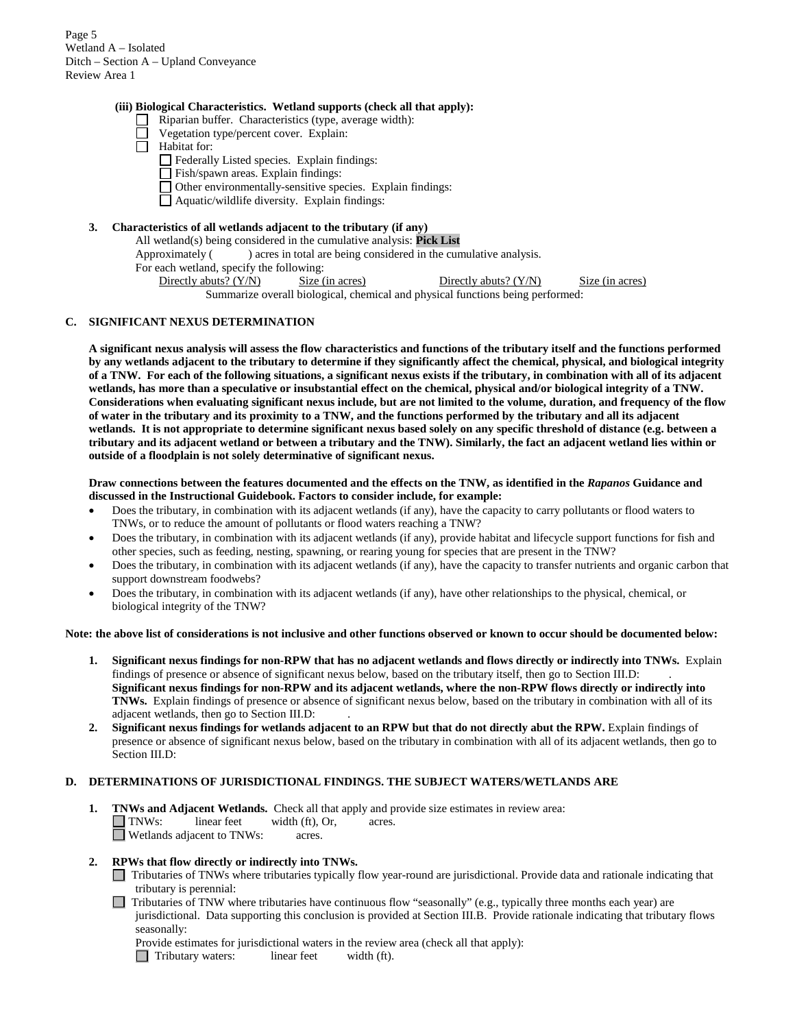Page 5 Wetland A – Isolated Ditch – Section A – Upland Conveyance Review Area 1

#### **(iii) Biological Characteristics. Wetland supports (check all that apply):**

- Riparian buffer. Characteristics (type, average width):
- Vegetation type/percent cover. Explain:
- П Habitat for:
	- Federally Listed species. Explain findings:
	- Fish/spawn areas. Explain findings:
	- Other environmentally-sensitive species. Explain findings:
	- Aquatic/wildlife diversity. Explain findings:

## **3. Characteristics of all wetlands adjacent to the tributary (if any)**

All wetland(s) being considered in the cumulative analysis: **Pick List**

Approximately () acres in total are being considered in the cumulative analysis.

For each wetland, specify the following:

Directly abuts? (Y/N) Size (in acres) Directly abuts? (Y/N) Size (in acres) Summarize overall biological, chemical and physical functions being performed:

### **C. SIGNIFICANT NEXUS DETERMINATION**

**A significant nexus analysis will assess the flow characteristics and functions of the tributary itself and the functions performed by any wetlands adjacent to the tributary to determine if they significantly affect the chemical, physical, and biological integrity of a TNW. For each of the following situations, a significant nexus exists if the tributary, in combination with all of its adjacent wetlands, has more than a speculative or insubstantial effect on the chemical, physical and/or biological integrity of a TNW. Considerations when evaluating significant nexus include, but are not limited to the volume, duration, and frequency of the flow of water in the tributary and its proximity to a TNW, and the functions performed by the tributary and all its adjacent wetlands. It is not appropriate to determine significant nexus based solely on any specific threshold of distance (e.g. between a tributary and its adjacent wetland or between a tributary and the TNW). Similarly, the fact an adjacent wetland lies within or outside of a floodplain is not solely determinative of significant nexus.** 

**Draw connections between the features documented and the effects on the TNW, as identified in the** *Rapanos* **Guidance and discussed in the Instructional Guidebook. Factors to consider include, for example:**

- Does the tributary, in combination with its adjacent wetlands (if any), have the capacity to carry pollutants or flood waters to TNWs, or to reduce the amount of pollutants or flood waters reaching a TNW?
- Does the tributary, in combination with its adjacent wetlands (if any), provide habitat and lifecycle support functions for fish and other species, such as feeding, nesting, spawning, or rearing young for species that are present in the TNW?
- Does the tributary, in combination with its adjacent wetlands (if any), have the capacity to transfer nutrients and organic carbon that support downstream foodwebs?
- Does the tributary, in combination with its adjacent wetlands (if any), have other relationships to the physical, chemical, or biological integrity of the TNW?

#### **Note: the above list of considerations is not inclusive and other functions observed or known to occur should be documented below:**

- **1. Significant nexus findings for non-RPW that has no adjacent wetlands and flows directly or indirectly into TNWs.** Explain findings of presence or absence of significant nexus below, based on the tributary itself, then go to Section III.D: . **Significant nexus findings for non-RPW and its adjacent wetlands, where the non-RPW flows directly or indirectly into TNWs.** Explain findings of presence or absence of significant nexus below, based on the tributary in combination with all of its adjacent wetlands, then go to Section III.D: .
- **2. Significant nexus findings for wetlands adjacent to an RPW but that do not directly abut the RPW.** Explain findings of presence or absence of significant nexus below, based on the tributary in combination with all of its adjacent wetlands, then go to Section III.D:

### **D. DETERMINATIONS OF JURISDICTIONAL FINDINGS. THE SUBJECT WATERS/WETLANDS ARE**

**1. TNWs and Adjacent Wetlands.** Check all that apply and provide size estimates in review area: TNWs: linear feet width (ft), Or, acres. Wetlands adjacent to TNWs: acres.

### **2. RPWs that flow directly or indirectly into TNWs.**

- Tributaries of TNWs where tributaries typically flow year-round are jurisdictional. Provide data and rationale indicating that tributary is perennial:
- $\Box$  Tributaries of TNW where tributaries have continuous flow "seasonally" (e.g., typically three months each year) are jurisdictional. Data supporting this conclusion is provided at Section III.B. Provide rationale indicating that tributary flows seasonally:
	- Provide estimates for jurisdictional waters in the review area (check all that apply):
	- Tributary waters: linear feet width (ft).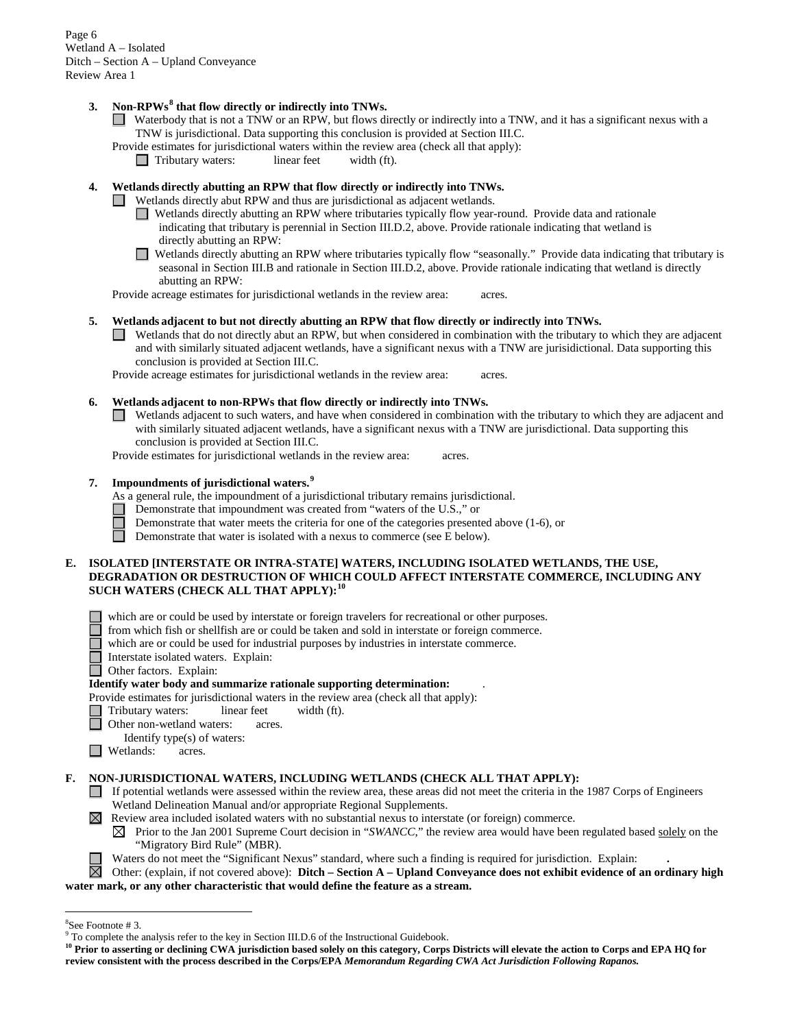Page 6 Wetland A – Isolated Ditch – Section A – Upland Conveyance Review Area 1

# **3. Non-RPWs[8](#page-5-0) that flow directly or indirectly into TNWs.**

- Waterbody that is not a TNW or an RPW, but flows directly or indirectly into a TNW, and it has a significant nexus with a TNW is jurisdictional. Data supporting this conclusion is provided at Section III.C.
- Provide estimates for jurisdictional waters within the review area (check all that apply):<br>
Tributary waters: linear feet width (ft).
	- Tributary waters: linear feet width (ft).

## **4. Wetlands directly abutting an RPW that flow directly or indirectly into TNWs.**

- Wetlands directly abut RPW and thus are jurisdictional as adjacent wetlands.
	- Wetlands directly abutting an RPW where tributaries typically flow year-round. Provide data and rationale indicating that tributary is perennial in Section III.D.2, above. Provide rationale indicating that wetland is directly abutting an RPW:
	- Wetlands directly abutting an RPW where tributaries typically flow "seasonally." Provide data indicating that tributary is seasonal in Section III.B and rationale in Section III.D.2, above. Provide rationale indicating that wetland is directly abutting an RPW:

Provide acreage estimates for jurisdictional wetlands in the review area: acres.

## **5. Wetlands adjacent to but not directly abutting an RPW that flow directly or indirectly into TNWs.**

Wetlands that do not directly abut an RPW, but when considered in combination with the tributary to which they are adjacent and with similarly situated adjacent wetlands, have a significant nexus with a TNW are jurisidictional. Data supporting this conclusion is provided at Section III.C.

Provide acreage estimates for jurisdictional wetlands in the review area: acres.

### **6. Wetlands adjacent to non-RPWs that flow directly or indirectly into TNWs.**

Wetlands adjacent to such waters, and have when considered in combination with the tributary to which they are adjacent and with similarly situated adjacent wetlands, have a significant nexus with a TNW are jurisdictional. Data supporting this conclusion is provided at Section III.C.

Provide estimates for jurisdictional wetlands in the review area: acres.

## **7. Impoundments of jurisdictional waters. [9](#page-5-1)**

As a general rule, the impoundment of a jurisdictional tributary remains jurisdictional.

- Demonstrate that impoundment was created from "waters of the U.S.," or
- Demonstrate that water meets the criteria for one of the categories presented above  $(1-6)$ , or

Demonstrate that water is isolated with a nexus to commerce (see E below).

## **E. ISOLATED [INTERSTATE OR INTRA-STATE] WATERS, INCLUDING ISOLATED WETLANDS, THE USE, DEGRADATION OR DESTRUCTION OF WHICH COULD AFFECT INTERSTATE COMMERCE, INCLUDING ANY SUCH WATERS (CHECK ALL THAT APPLY):[10](#page-5-2)**

- which are or could be used by interstate or foreign travelers for recreational or other purposes.
- from which fish or shellfish are or could be taken and sold in interstate or foreign commerce.
- which are or could be used for industrial purposes by industries in interstate commerce.
- Interstate isolated waters.Explain:
- Other factors. Explain:

### **Identify water body and summarize rationale supporting determination:** .

- Provide estimates for jurisdictional waters in the review area (check all that apply):
	- Tributary waters: linear feet width (ft).
	- Other non-wetland waters: acres.
	- Identify type(s) of waters:
- **I** Wetlands: acres.

# **F. NON-JURISDICTIONAL WATERS, INCLUDING WETLANDS (CHECK ALL THAT APPLY):**

- If potential wetlands were assessed within the review area, these areas did not meet the criteria in the 1987 Corps of Engineers Wetland Delineation Manual and/or appropriate Regional Supplements.
- $\boxtimes$  Review area included isolated waters with no substantial nexus to interstate (or foreign) commerce.
	- $\boxtimes$  Prior to the Jan 2001 Supreme Court decision in "*SWANCC*," the review area would have been regulated based solely on the "Migratory Bird Rule" (MBR).
	- Waters do not meet the "Significant Nexus" standard, where such a finding is required for jurisdiction. Explain: **.**

Other: (explain, if not covered above): **Ditch – Section A – Upland Conveyance does not exhibit evidence of an ordinary high water mark, or any other characteristic that would define the feature as a stream.**

 $\frac{1}{8}$ 

<span id="page-5-1"></span><span id="page-5-0"></span><sup>&</sup>lt;sup>8</sup>See Footnote # 3.<br><sup>9</sup> To complete the analysis refer to the key in Section III.D.6 of the Instructional Guidebook.

<span id="page-5-2"></span><sup>&</sup>lt;sup>10</sup> Prior to asserting or declining CWA jurisdiction based solely on this category, Corps Districts will elevate the action to Corps and EPA HQ for **review consistent with the process described in the Corps/EPA** *Memorandum Regarding CWA Act Jurisdiction Following Rapanos.*